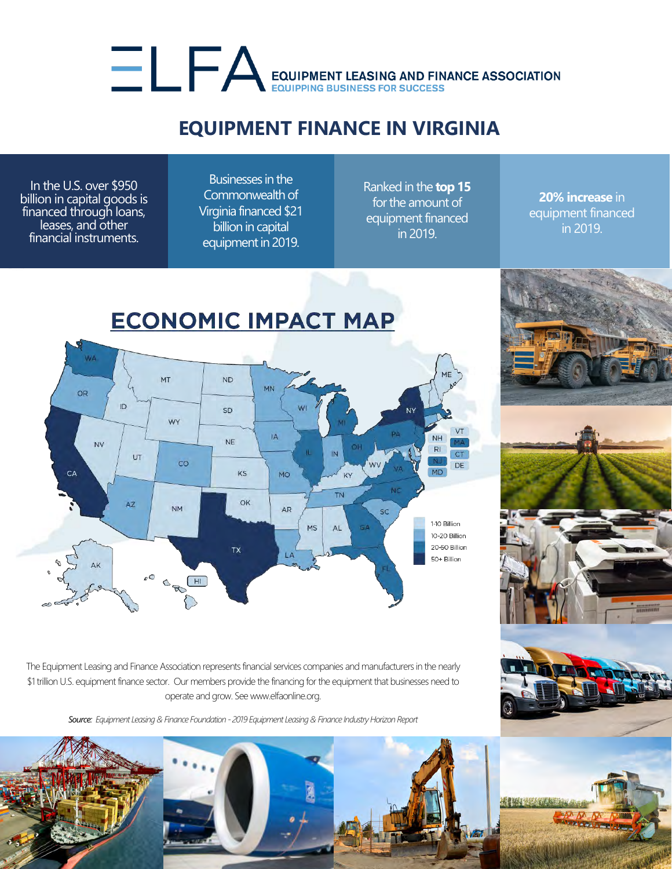## EQUIPMENT LEASING AND FINANCE ASSOCIATION

## **EQUIPMENT FINANCE IN VIRGINIA**

In the U.S. over \$950 billion in capital goods is financed through loans, leases, and other financial instruments.

Businesses in the Commonwealth of Virginia financed \$21 billion in capital equipment in 2019.

Ranked in the **top 15** for the amount of equipment financed in 2019.

**20% increase** in equipment financed in 2019.



The Equipment Leasing and Finance Association represents financial services companies and manufacturers in the nearly \$1 trillion U.S. equipment finance sector. Our members provide the financing for the equipment that businesses need to operate and grow. See www.elfaonline.org.

*Source: Equipment Leasing & Finance Foundation - 2019 Equipment Leasing & Finance Industry Horizon Report*